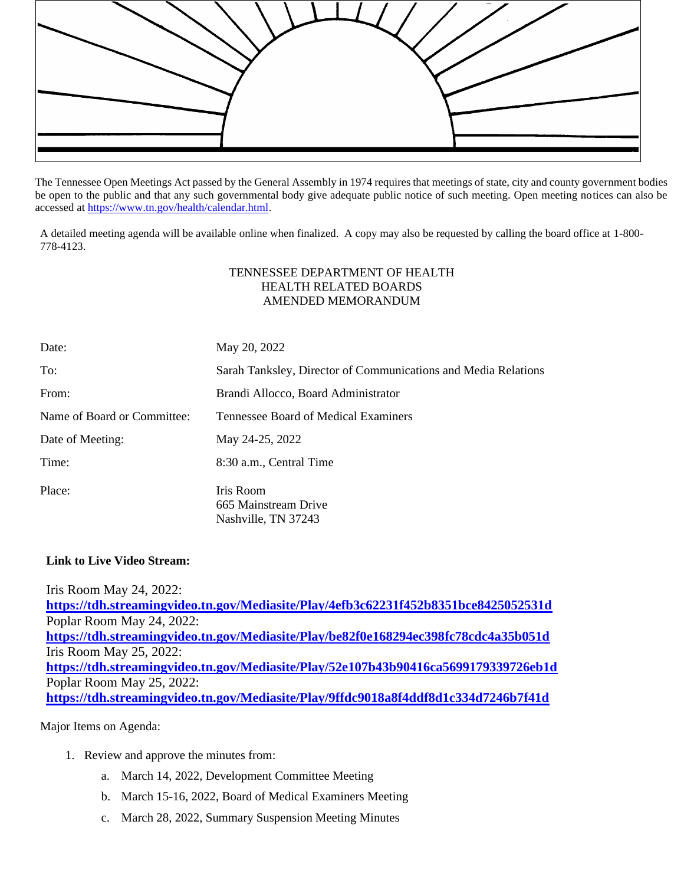

The Tennessee Open Meetings Act passed by the General Assembly in 1974 requires that meetings of state, city and county government bodies be open to the public and that any such governmental body give adequate public notice of such meeting. Open meeting notices can also be accessed a[t https://www.tn.gov/health/calendar.html.](https://www.tn.gov/health/calendar.html)

A detailed meeting agenda will be available online when finalized. A copy may also be requested by calling the board office at 1-800- 778-4123.

## TENNESSEE DEPARTMENT OF HEALTH HEALTH RELATED BOARDS AMENDED MEMORANDUM

| Date:                       | May 20, 2022                                                   |
|-----------------------------|----------------------------------------------------------------|
| To:                         | Sarah Tanksley, Director of Communications and Media Relations |
| From:                       | Brandi Allocco, Board Administrator                            |
| Name of Board or Committee: | Tennessee Board of Medical Examiners                           |
| Date of Meeting:            | May 24-25, 2022                                                |
| Time:                       | 8:30 a.m., Central Time                                        |
| Place:                      | Iris Room<br>665 Mainstream Drive<br>Nashville, TN 37243       |

## **Link to Live Video Stream:**

Iris Room May 24, 2022: **<https://tdh.streamingvideo.tn.gov/Mediasite/Play/4efb3c62231f452b8351bce8425052531d>** Poplar Room May 24, 2022: **<https://tdh.streamingvideo.tn.gov/Mediasite/Play/be82f0e168294ec398fc78cdc4a35b051d>** Iris Room May 25, 2022: **<https://tdh.streamingvideo.tn.gov/Mediasite/Play/52e107b43b90416ca5699179339726eb1d>** Poplar Room May 25, 2022: **<https://tdh.streamingvideo.tn.gov/Mediasite/Play/9ffdc9018a8f4ddf8d1c334d7246b7f41d>**

## Major Items on Agenda:

- 1. Review and approve the minutes from:
	- a. March 14, 2022, Development Committee Meeting
	- b. March 15-16, 2022, Board of Medical Examiners Meeting
	- c. March 28, 2022, Summary Suspension Meeting Minutes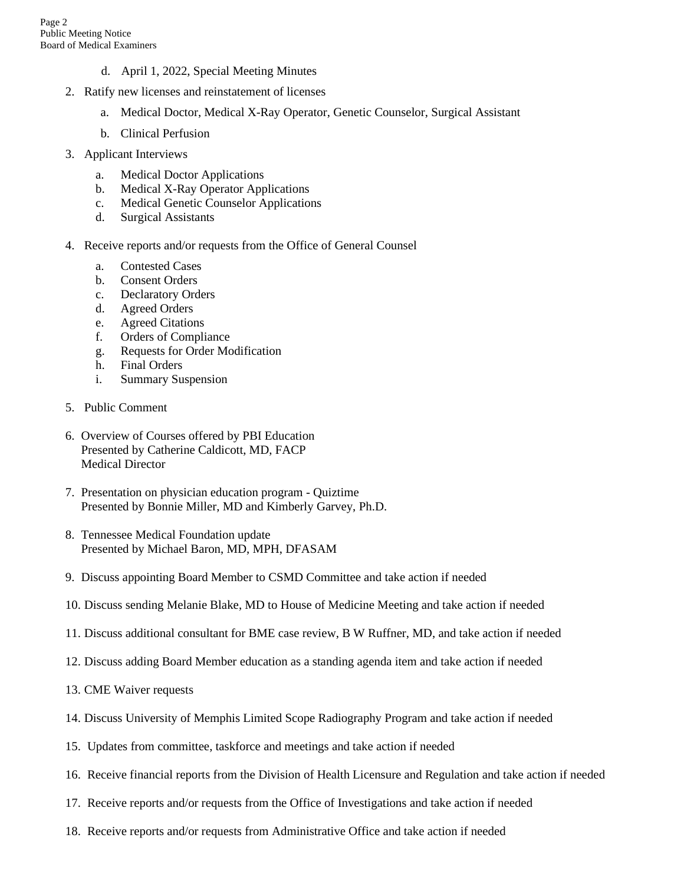- d. April 1, 2022, Special Meeting Minutes
- 2. Ratify new licenses and reinstatement of licenses
	- a. Medical Doctor, Medical X-Ray Operator, Genetic Counselor, Surgical Assistant
	- b. Clinical Perfusion
- 3. Applicant Interviews
	- a. Medical Doctor Applications
	- b. Medical X-Ray Operator Applications
	- c. Medical Genetic Counselor Applications
	- d. Surgical Assistants
- 4. Receive reports and/or requests from the Office of General Counsel
	- a. Contested Cases
	- b. Consent Orders
	- c. Declaratory Orders
	- d. Agreed Orders
	- e. Agreed Citations
	- f. Orders of Compliance
	- g. Requests for Order Modification
	- h. Final Orders
	- i. Summary Suspension
- 5. Public Comment
- 6. Overview of Courses offered by PBI Education Presented by Catherine Caldicott, MD, FACP Medical Director
- 7. Presentation on physician education program Quiztime Presented by Bonnie Miller, MD and Kimberly Garvey, Ph.D.
- 8. Tennessee Medical Foundation update Presented by Michael Baron, MD, MPH, DFASAM
- 9. Discuss appointing Board Member to CSMD Committee and take action if needed
- 10. Discuss sending Melanie Blake, MD to House of Medicine Meeting and take action if needed
- 11. Discuss additional consultant for BME case review, B W Ruffner, MD, and take action if needed
- 12. Discuss adding Board Member education as a standing agenda item and take action if needed
- 13. CME Waiver requests
- 14. Discuss University of Memphis Limited Scope Radiography Program and take action if needed
- 15. Updates from committee, taskforce and meetings and take action if needed
- 16. Receive financial reports from the Division of Health Licensure and Regulation and take action if needed
- 17. Receive reports and/or requests from the Office of Investigations and take action if needed
- 18. Receive reports and/or requests from Administrative Office and take action if needed